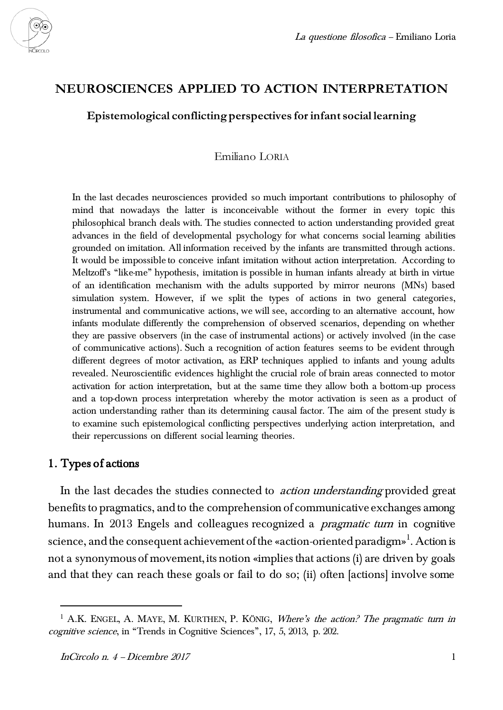

# **NEUROSCIENCES APPLIED TO ACTION INTERPRETATION**

# **Epistemological conflicting perspectives for infant social learning**

## Emiliano LORIA

In the last decades neurosciences provided so much important contributions to philosophy of mind that nowadays the latter is inconceivable without the former in every topic this philosophical branch deals with. The studies connected to action understanding provided great advances in the field of developmental psychology for what concerns social learning abilities grounded on imitation. All information received by the infants are transmitted through actions. It would be impossible to conceive infant imitation without action interpretation. According to Meltzoff's "like-me" hypothesis, imitation is possible in human infants already at birth in virtue of an identification mechanism with the adults supported by mirror neurons (MNs) based simulation system. However, if we split the types of actions in two general categories, instrumental and communicative actions, we will see, according to an alternative account, how infants modulate differently the comprehension of observed scenarios, depending on whether they are passive observers (in the case of instrumental actions) or actively involved (in the case of communicative actions). Such a recognition of action features seems to be evident through different degrees of motor activation, as ERP techniques applied to infants and young adults revealed. Neuroscientific evidences highlight the crucial role of brain areas connected to motor activation for action interpretation, but at the same time they allow both a bottom-up process and a top-down process interpretation whereby the motor activation is seen as a product of action understanding rather than its determining causal factor. The aim of the present study is to examine such epistemological conflicting perspectives underlying action interpretation, and their repercussions on different social learning theories.

## 1. Types of actions

 $\overline{a}$ 

In the last decades the studies connected to *action understanding* provided great benefits to pragmatics, and to the comprehension of communicative exchanges among humans. In 2013 Engels and colleagues recognized a *pragmatic turn* in cognitive science, and the consequent achievement of the «action-oriented paradigm» $^{\rm l}$ . Action is not a synonymous of movement, its notion «implies that actions (i) are driven by goals and that they can reach these goals or fail to do so; (ii) often [actions] involve some

<sup>&</sup>lt;sup>1</sup> A.K. ENGEL, A. MAYE, M. KURTHEN, P. KÖNIG, *Where's the action? The pragmatic turn in* cognitive science, in "Trends in Cognitive Sciences", 17, 5, 2013, p. 202.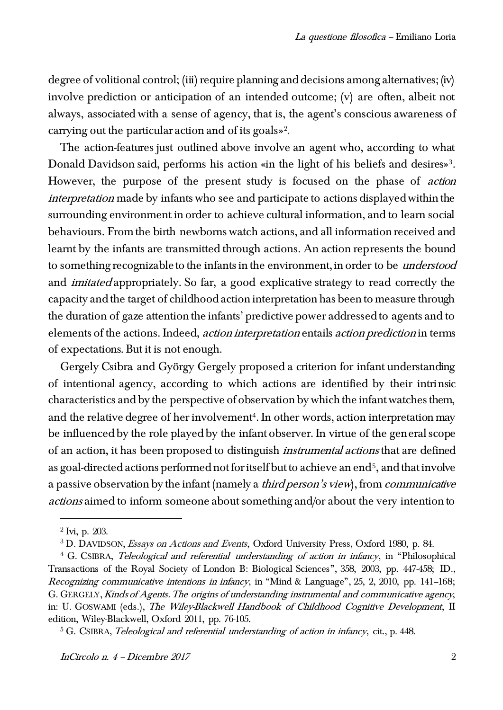degree of volitional control; (iii) require planning and decisions among alternatives; (iv) involve prediction or anticipation of an intended outcome; (v) are often, albeit not always, associated with a sense of agency, that is, the agent's conscious awareness of carrying out the particular action and of its goals»<sup>2</sup> .

The action-features just outlined above involve an agent who, according to what Donald Davidson said, performs his action «in the light of his beliefs and desires»<sup>3</sup> . However, the purpose of the present study is focused on the phase of action interpretation made by infants who see and participate to actions displayed within the surrounding environment in order to achieve cultural information, and to learn social behaviours. From the birth newborns watch actions, and all information received and learnt by the infants are transmitted through actions. An action represents the bound to something recognizable to the infants in the environment, in order to be understood and imitated appropriately. So far, a good explicative strategy to read correctly the capacity and the target of childhood action interpretation has been to measure through the duration of gaze attention the infants' predictive power addressed to agents and to elements of the actions. Indeed, action interpretation entails action prediction in terms of expectations. But it is not enough.

Gergely Csibra and György Gergely proposed a criterion for infant understanding of intentional agency, according to which actions are identified by their intrinsic characteristics and by the perspective of observation by which the infant watches them, and the relative degree of her involvement<sup>4</sup>. In other words, action interpretation may be influenced by the role played by the infant observer. In virtue of the general scope of an action, it has been proposed to distinguish *instrumental actions* that are defined as goal-directed actions performed not for itself but to achieve an end<sup>5</sup>, and that involve a passive observation by the infant (namely a *third person's view*), from *communicative* actions aimed to inform someone about something and/or about the very intention to

 $2^2$  Ivi, p. 203.

<sup>3</sup> D. DAVIDSON, Essays on Actions and Events, Oxford University Press, Oxford 1980, p. 84.

<sup>&</sup>lt;sup>4</sup> G. CSIBRA, *Teleological and referential understanding of action in infancy*, in "Philosophical Transactions of the Royal Society of London B: Biological Sciences", 358, 2003, pp. 447-458; ID., Recognizing communicative intentions in infancy, in "Mind & Language", 25, 2, 2010, pp. 141–168; G. GERGELY, Kinds of Agents. The origins of understanding instrumental and communicative agency, in: U. GOSWAMI (eds.), The Wiley-Blackwell Handbook of Childhood Cognitive Development, II edition, Wiley-Blackwell, Oxford 2011, pp. 76-105.

 $5$  G. CSIBRA, *Teleological and referential understanding of action in infancy*, cit., p. 448.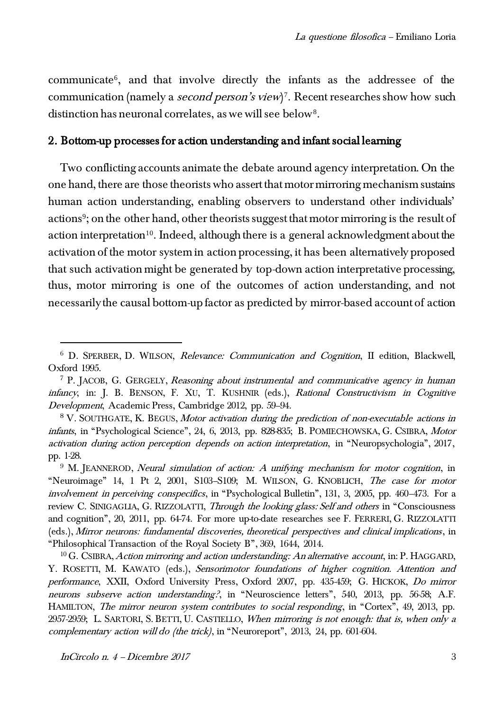communicate<sup>6</sup> , and that involve directly the infants as the addressee of the communication (namely a *second person's view*)<sup>7</sup>. Recent researches show how such distinction has neuronal correlates, as we will see below<sup>8</sup> .

## 2. Bottom-up processes for action understanding and infant social learning

Two conflicting accounts animate the debate around agency interpretation. On the one hand, there are those theorists who assert that motor mirroring mechanism sustains human action understanding, enabling observers to understand other individuals' actions<sup>9</sup>; on the other hand, other theorists suggest that motor mirroring is the result of action interpretation<sup>10</sup>. Indeed, although there is a general acknowledgment about the activation of the motor system in action processing, it has been alternatively proposed that such activation might be generated by top-down action interpretative processing, thus, motor mirroring is one of the outcomes of action understanding, and not necessarily the causal bottom-up factor as predicted by mirror-based account of action

InCircolo n. 4 – Dicembre 2017 3

<sup>6</sup> D. SPERBER, D. WILSON, Relevance: Communication and Cognition, II edition, Blackwell, Oxford 1995.

<sup>7</sup> P. JACOB, G. GERGELY, Reasoning about instrumental and communicative agency in human infancy, in: J. B. BENSON, F. XU, T. KUSHNIR (eds.), Rational Constructivism in Cognitive Development, Academic Press, Cambridge 2012, pp. 59–94.

<sup>&</sup>lt;sup>8</sup> V. SOUTHGATE, K. BEGUS, *Motor activation during the prediction of non-executable actions in* infants, in "Psychological Science", 24, 6, 2013, pp. 828-835; B. POMIECHOWSKA, G. CSIBRA, Motor activation during action perception depends on action interpretation, in "Neuropsychologia", 2017, pp. 1-28.

 $9$  M. JEANNEROD, *Neural simulation of action: A unifying mechanism for motor cognition*, in "Neuroimage" 14, 1 Pt 2, 2001, S103–S109; M. WILSON, G. KNOBLICH, The case for motor involvement in perceiving conspecifics, in "Psychological Bulletin", 131, 3, 2005, pp. 460–473. For a review C. SINIGAGLIA, G. RIZZOLATTI, *Through the looking glass: Self and others* in "Consciousness and cognition", 20, 2011, pp. 64-74. For more up-to-date researches see F. FERRERI, G. RIZZOLATTI (eds.), Mirror neurons: fundamental discoveries, theoretical perspectives and clinical implications, in "Philosophical Transaction of the Royal Society B", 369, 1644, 2014.

<sup>&</sup>lt;sup>10</sup> G. CSIBRA, *Action mirroring and action understanding: An alternative account*, in: P. HAGGARD, Y. ROSETTI, M. KAWATO (eds.), Sensorimotor foundations of higher cognition. Attention and performance, XXII, Oxford University Press, Oxford 2007, pp. 435-459; G. HICKOK, Do mirror neurons subserve action understanding?, in "Neuroscience letters", 540, 2013, pp. 56-58; A.F. HAMILTON, The mirror neuron system contributes to social responding, in "Cortex", 49, 2013, pp. 2957-2959; L. SARTORI, S. BETTI, U. CASTIELLO, When mirroring is not enough: that is, when only a complementary action will do (the trick), in "Neuroreport", 2013, 24, pp. 601-604.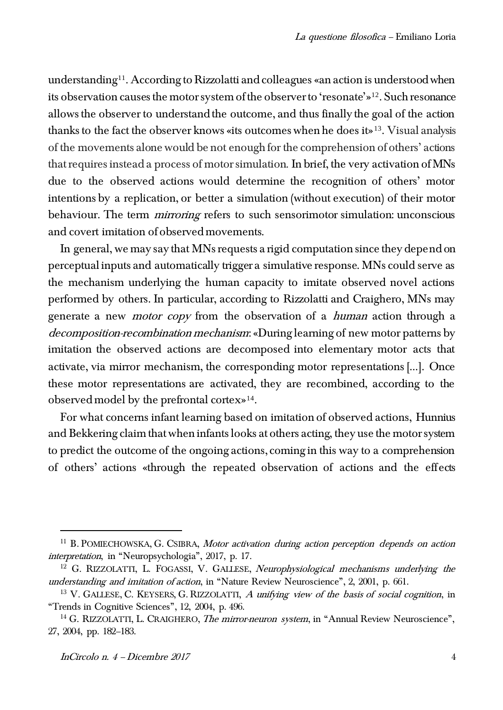understanding<sup>11</sup>. According to Rizzolatti and colleagues «an action is understood when its observation causes the motor system of the observer to 'resonate'»12. Such resonance allows the observer to understand the outcome, and thus finally the goal of the action thanks to the fact the observer knows «its outcomes when he does it»<sup>13</sup> . Visual analysis of the movements alone would be not enough for the comprehension of others' actions that requires instead a process of motor simulation. In brief, the very activation of MNs due to the observed actions would determine the recognition of others' motor intentions by a replication, or better a simulation (without execution) of their motor behaviour. The term *mirroring* refers to such sensorimotor simulation: unconscious and covert imitation of observed movements.

In general, we may say that MNs requests a rigid computation since they depend on perceptual inputs and automatically trigger a simulative response. MNs could serve as the mechanism underlying the human capacity to imitate observed novel actions performed by others. In particular, according to Rizzolatti and Craighero, MNs may generate a new motor copy from the observation of a human action through a decomposition-recombination mechanism: «During learning of new motor patterns by imitation the observed actions are decomposed into elementary motor acts that activate, via mirror mechanism, the corresponding motor representations […]. Once these motor representations are activated, they are recombined, according to the observed model by the prefrontal cortex»<sup>14</sup> .

For what concerns infant learning based on imitation of observed actions, Hunnius and Bekkering claim that when infants looks at others acting, they use the motor system to predict the outcome of the ongoing actions, coming in this way to a comprehension of others' actions «through the repeated observation of actions and the effects

 $11$  B. POMIECHOWSKA, G. CSIBRA, Motor activation during action perception depends on action interpretation, in "Neuropsychologia", 2017, p. 17.

 $12$  G. RIZZOLATTI, L. FOGASSI, V. GALLESE, Neurophysiological mechanisms underlying the understanding and imitation of action, in "Nature Review Neuroscience", 2, 2001, p. 661.

 $13$  V. GALLESE, C. KEYSERS, G. RIZZOLATTI, A unifying view of the basis of social cognition, in "Trends in Cognitive Sciences", 12, 2004, p. 496.

<sup>&</sup>lt;sup>14</sup> G. RIZZOLATTI, L. CRAIGHERO, *The mirror-neuron system*, in "Annual Review Neuroscience", 27, 2004, pp. 182–183.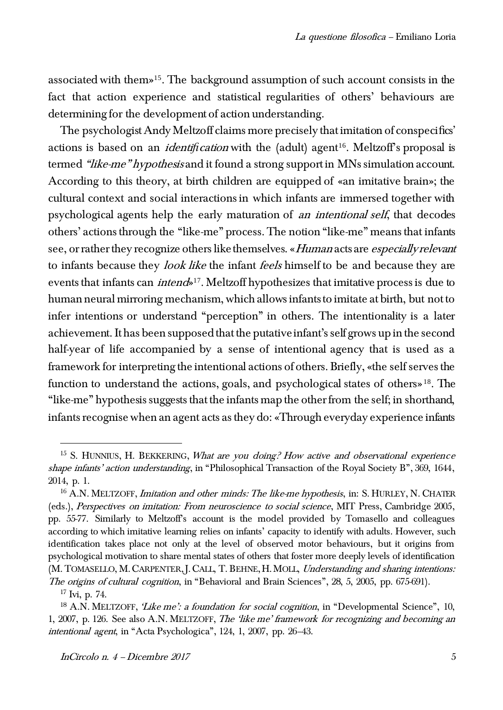associated with them»15. The background assumption of such account consists in the fact that action experience and statistical regularities of others' behaviours are determining for the development of action understanding.

The psychologist Andy Meltzoff claims more precisely that imitation of conspecifics' actions is based on an *identification* with the (adult) agent<sup>16</sup>. Meltzoff's proposal is termed "like-me" hypothesis and it found a strong support in MNs simulation account. According to this theory, at birth children are equipped of «an imitative brain»; the cultural context and social interactions in which infants are immersed together with psychological agents help the early maturation of an intentional self, that decodes others' actions through the "like-me" process. The notion "like-me" means that infants see, or rather they recognize others like themselves. «Human acts are especially relevant to infants because they look like the infant feels himself to be and because they are events that infants can *intend*<sup>17</sup>. Meltzoff hypothesizes that imitative process is due to human neural mirroring mechanism, which allows infants to imitate at birth, but not to infer intentions or understand "perception" in others. The intentionality is a later achievement. It has been supposed that the putative infant's self grows up in the second half-year of life accompanied by a sense of intentional agency that is used as a framework for interpreting the intentional actions of others. Briefly, «the self serves the function to understand the actions, goals, and psychological states of others» <sup>18</sup>. The "like-me" hypothesis suggests that the infants map the other from the self; in shorthand, infants recognise when an agent acts as they do: «Through everyday experience infants

 $15$  S. HUNNIUS, H. BEKKERING, What are you doing? How active and observational experience shape infants' action understanding, in "Philosophical Transaction of the Royal Society B", 369, 1644, 2014, p. 1.

 $16$  A.N. MELTZOFF, *Imitation and other minds: The like-me hypothesis*, in: S. HURLEY, N. CHATER (eds.), Perspectives on imitation: From neuroscience to social science, MIT Press, Cambridge 2005, pp. 55-77. Similarly to Meltzoff's account is the model provided by Tomasello and colleagues according to which imitative learning relies on infants' capacity to identify with adults. However, such identification takes place not only at the level of observed motor behaviours, but it origins from psychological motivation to share mental states of others that foster more deeply levels of identification (M. TOMASELLO, M. CARPENTER, J. CALL, T. BEHNE, H. MOLL, Understanding and sharing intentions: The origins of cultural cognition, in "Behavioral and Brain Sciences", 28, 5, 2005, pp. 675-691).

 $17$  Ivi, p. 74.

<sup>&</sup>lt;sup>18</sup> A.N. MELTZOFF, 'Like me': a foundation for social cognition, in "Developmental Science", 10, 1, 2007, p. 126. See also A.N. MELTZOFF, The 'like me' framework for recognizing and becoming an intentional agent, in "Acta Psychologica", 124, 1, 2007, pp. 26–43.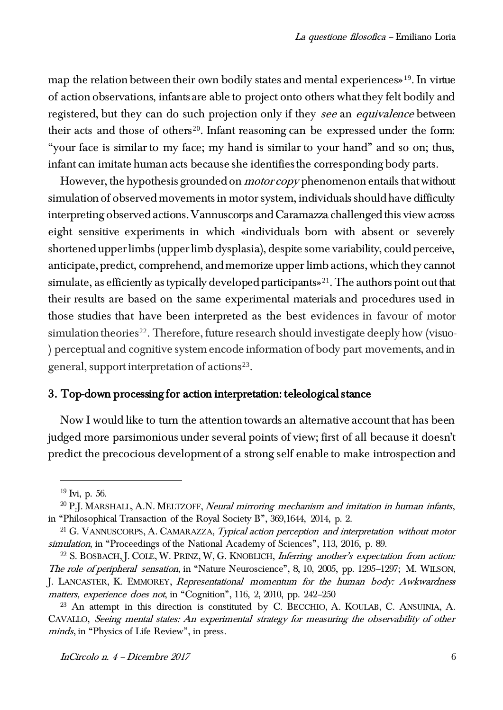map the relation between their own bodily states and mental experiences<sup>919</sup>. In virtue of action observations, infants are able to project onto others what they felt bodily and registered, but they can do such projection only if they see an equivalence between their acts and those of others<sup>20</sup>. Infant reasoning can be expressed under the form: "your face is similar to my face; my hand is similar to your hand" and so on; thus, infant can imitate human acts because she identifies the corresponding body parts.

However, the hypothesis grounded on *motor copy* phenomenon entails that without simulation of observed movements in motor system, individuals should have difficulty interpreting observed actions. Vannuscorps and Caramazza challenged this view across eight sensitive experiments in which «individuals born with absent or severely shortened upper limbs (upper limb dysplasia), despite some variability, could perceive, anticipate, predict, comprehend, and memorize upper limb actions, which they cannot simulate, as efficiently as typically developed participants»<sup>21</sup>. The authors point out that their results are based on the same experimental materials and procedures used in those studies that have been interpreted as the best evidences in favour of motor simulation theories<sup>22</sup>. Therefore, future research should investigate deeply how (visuo-) perceptual and cognitive system encode information of body part movements, and in general, support interpretation of actions<sup>23</sup>.

# 3. Top-down processing for action interpretation: teleological stance

Now I would like to turn the attention towards an alternative account that has been judged more parsimonious under several points of view; first of all because it doesn't predict the precocious development of a strong self enable to make introspection and

 $19 \text{Ivi}$ , p. 56.

 $^{20}$  P.J. MARSHALL, A.N. MELTZOFF, *Neural mirroring mechanism and imitation in human infants*, in "Philosophical Transaction of the Royal Society B", 369,1644, 2014, p. 2.

 $21$  G. VANNUSCORPS, A. CAMARAZZA, *Typical action perception and interpretation without motor* simulation, in "Proceedings of the National Academy of Sciences", 113, 2016, p. 89.

<sup>&</sup>lt;sup>22</sup> S. BOSBACH, J. COLE, W. PRINZ, W. G. KNOBLICH, *Inferring another's expectation from action:* The role of peripheral sensation, in "Nature Neuroscience", 8, 10, 2005, pp. 1295–1297; M. WILSON, J. LANCASTER, K. EMMOREY, Representational momentum for the human body: Awkwardness matters, experience does not, in "Cognition", 116, 2, 2010, pp. 242–250

 $23$  An attempt in this direction is constituted by C. BECCHIO, A. KOULAB, C. ANSUINIA, A. CAVALLO, Seeing mental states: An experimental strategy for measuring the observability of other minds, in "Physics of Life Review", in press.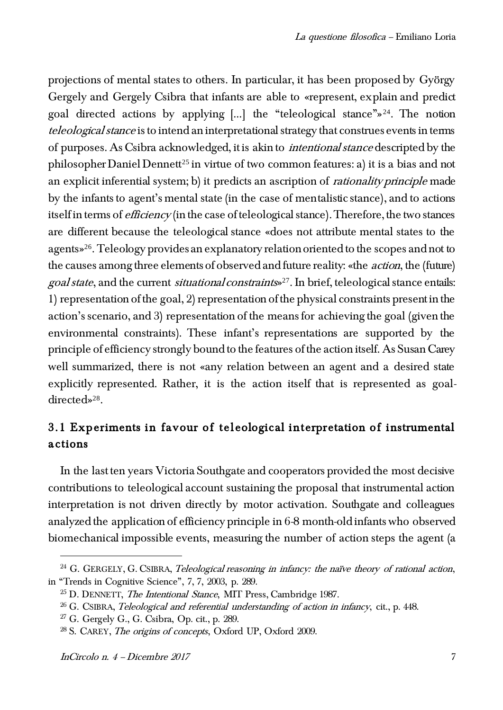projections of mental states to others. In particular, it has been proposed by György Gergely and Gergely Csibra that infants are able to «represent, explain and predict goal directed actions by applying […] the "teleological stance"»24. The notion teleological stance is to intend an interpretational strategy that construes events in terms of purposes. As Csibra acknowledged, it is akin to intentional stance descripted by the philosopher Daniel Dennett<sup>25</sup> in virtue of two common features: a) it is a bias and not an explicit inferential system; b) it predicts an ascription of *rationality principle* made by the infants to agent's mental state (in the case of mentalistic stance), and to actions itself in terms of *efficiency* (in the case of teleological stance). Therefore, the two stances are different because the teleological stance «does not attribute mental states to the agents»26. Teleology provides an explanatory relation oriented to the scopes and not to the causes among three elements of observed and future reality: «the action, the (future) goal state, and the current situational constraints» <sup>27</sup>. In brief, teleological stance entails: 1) representation of the goal, 2) representation of the physical constraints present in the action's scenario, and 3) representation of the means for achieving the goal (given the environmental constraints). These infant's representations are supported by the principle of efficiency strongly bound to the features of the action itself. As Susan Carey well summarized, there is not «any relation between an agent and a desired state explicitly represented. Rather, it is the action itself that is represented as goaldirected»<sup>28</sup> .

# 3.1 Experiments in favour of teleological interpretation of instrumental actions

In the last ten years Victoria Southgate and cooperators provided the most decisive contributions to teleological account sustaining the proposal that instrumental action interpretation is not driven directly by motor activation. Southgate and colleagues analyzed the application of efficiency principle in 6-8 month-old infants who observed biomechanical impossible events, measuring the number of action steps the agent (a

 $24$  G. GERGELY, G. CSIBRA, Teleological reasoning in infancy: the naïve theory of rational action, in "Trends in Cognitive Science", 7, 7, 2003, p. 289.

 $25$  D. DENNETT, *The Intentional Stance*, MIT Press, Cambridge 1987.

 $26$  G. CSIBRA, *Teleological and referential understanding of action in infancy*, cit., p. 448.

<sup>27</sup> G. Gergely G., G. Csibra, Op. cit., p. 289.

<sup>28</sup> S. CAREY, The origins of concepts, Oxford UP, Oxford 2009.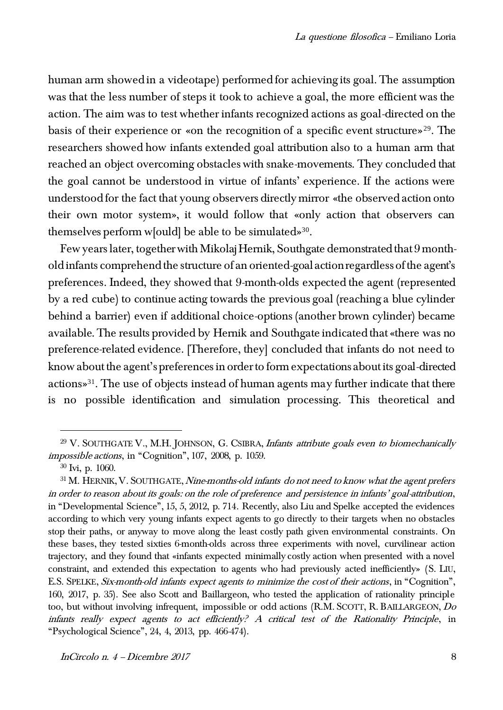human arm showed in a videotape) performed for achieving its goal. The assumption was that the less number of steps it took to achieve a goal, the more efficient was the action. The aim was to test whether infants recognized actions as goal-directed on the basis of their experience or «on the recognition of a specific event structure»29. The researchers showed how infants extended goal attribution also to a human arm that reached an object overcoming obstacles with snake-movements. They concluded that the goal cannot be understood in virtue of infants' experience. If the actions were understood for the fact that young observers directly mirror «the observed action onto their own motor system», it would follow that «only action that observers can themselves perform w[ould] be able to be simulated»<sup>30</sup> .

Few years later, together with Mikolaj Hernik, Southgate demonstrated that 9 monthold infants comprehend the structure of an oriented-goal action regardless of the agent's preferences. Indeed, they showed that 9-month-olds expected the agent (represented by a red cube) to continue acting towards the previous goal (reaching a blue cylinder behind a barrier) even if additional choice-options (another brown cylinder) became available. The results provided by Hernik and Southgate indicated that «there was no preference-related evidence. [Therefore, they] concluded that infants do not need to know about the agent's preferences in order to form expectations about its goal-directed actions»<sup>31</sup> . The use of objects instead of human agents may further indicate that there is no possible identification and simulation processing. This theoretical and

 $29$  V. SOUTHGATE V., M.H. JOHNSON, G. CSIBRA, *Infants attribute goals even to biomechanically* impossible actions, in "Cognition", 107, 2008, p. 1059.

<sup>30</sup> Ivi, p. 1060.

<sup>&</sup>lt;sup>31</sup> M. HERNIK, V. SOUTHGATE, Nine-months-old infants do not need to know what the agent prefers in order to reason about its goals: on the role of preference and persistence in infants' goal-attribution, in "Developmental Science", 15, 5, 2012, p. 714. Recently, also Liu and Spelke accepted the evidences according to which very young infants expect agents to go directly to their targets when no obstacles stop their paths, or anyway to move along the least costly path given environmental constraints. On these bases, they tested sixties 6-month-olds across three experiments with novel, curvilinear action trajectory, and they found that «infants expected minimally costly action when presented with a novel constraint, and extended this expectation to agents who had previously acted inefficiently» (S. LIU, E.S. SPELKE, Six-month-old infants expect agents to minimize the cost of their actions, in "Cognition", 160, 2017, p. 35). See also Scott and Baillargeon, who tested the application of rationality principle too, but without involving infrequent, impossible or odd actions (R.M. SCOTT, R. BAILLARGEON, Do infants really expect agents to act efficiently? A critical test of the Rationality Principle, in "Psychological Science", 24, 4, 2013, pp. 466-474).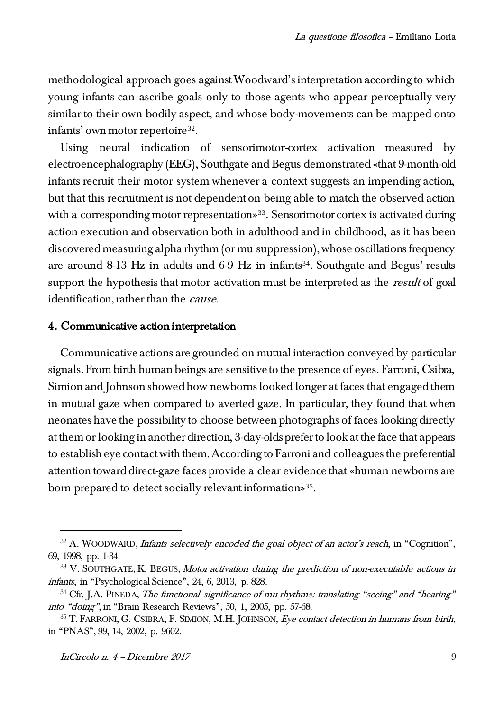methodological approach goes against Woodward's interpretation according to which young infants can ascribe goals only to those agents who appear perceptually very similar to their own bodily aspect, and whose body-movements can be mapped onto infants' own motor repertoire<sup>32</sup>.

Using neural indication of sensorimotor-cortex activation measured by electroencephalography (EEG), Southgate and Begus demonstrated «that 9-month-old infants recruit their motor system whenever a context suggests an impending action, but that this recruitment is not dependent on being able to match the observed action with a corresponding motor representation»<sup>33</sup>. Sensorimotor cortex is activated during action execution and observation both in adulthood and in childhood, as it has been discovered measuring alpha rhythm (or mu suppression), whose oscillations frequency are around 8-13 Hz in adults and  $6-9$  Hz in infants<sup>34</sup>. Southgate and Begus' results support the hypothesis that motor activation must be interpreted as the *result* of goal identification, rather than the *cause*.

#### 4. Communicative action interpretation

Communicative actions are grounded on mutual interaction conveyed by particular signals. From birth human beings are sensitive to the presence of eyes. Farroni, Csibra, Simion and Johnson showed how newborns looked longer at faces that engaged them in mutual gaze when compared to averted gaze. In particular, they found that when neonates have the possibility to choose between photographs of faces looking directly at them or looking in another direction, 3-day-olds prefer to look at the face that appears to establish eye contact with them. According to Farroni and colleagues the preferential attention toward direct-gaze faces provide a clear evidence that «human newborns are born prepared to detect socially relevant information»<sup>35</sup>.

 $32$  A. WOODWARD, *Infants selectively encoded the goal object of an actor's reach*, in "Cognition", 69, 1998, pp. 1-34.

 $33$  V. SOUTHGATE, K. BEGUS, Motor activation during the prediction of non-executable actions in infants, in "Psychological Science", 24, 6, 2013, p. 828.

 $34$  Cfr. J.A. PINEDA, The functional significance of mu rhythms: translating "seeing" and "hearing" into "doing", in "Brain Research Reviews", 50, 1, 2005, pp. 57-68.

 $35$  T. FARRONI, G. CSIBRA, F. SIMION, M.H. JOHNSON, *Eye contact detection in humans from birth*, in "PNAS", 99, 14, 2002, p. 9602.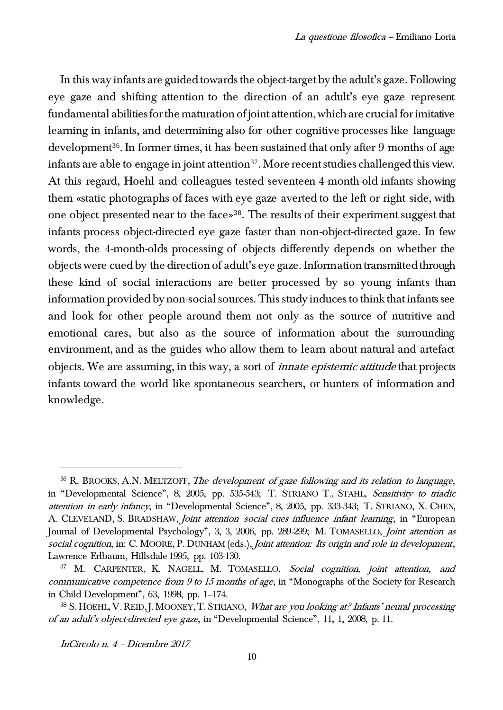In this way infants are guided towards the object-target by the adult's gaze. Following eye gaze and shifting attention to the direction of an adult's eye gaze represent fundamental abilities for the maturation of joint attention, which are crucial for imitative learning in infants, and determining also for other cognitive processes like language development<sup>36</sup>. In former times, it has been sustained that only after 9 months of age infants are able to engage in joint attention<sup>37</sup>. More recent studies challenged this view. At this regard, Hoehl and colleagues tested seventeen 4-month-old infants showing them «static photographs of faces with eye gaze averted to the left or right side, with one object presented near to the face»38. The results of their experiment suggest that infants process object-directed eye gaze faster than non-object-directed gaze. In few words, the 4-month-olds processing of objects differently depends on whether the objects were cued by the direction of adult's eye gaze. Information transmitted through these kind of social interactions are better processed by so young infants than information provided by non-social sources. This study induces to think that infants see and look for other people around them not only as the source of nutritive and emotional cares, but also as the source of information about the surrounding environment, and as the guides who allow them to learn about natural and artefact objects. We are assuming, in this way, a sort of *innate epistemic attitude* that projects infants toward the world like spontaneous searchers, or hunters of information and knowledge.

InCircolo n. 4 – Dicembre 2017

 $36$  R. BROOKS, A.N. MELTZOFF, The development of gaze following and its relation to language, in "Developmental Science", 8, 2005, pp. 535-543; T. STRIANO T., STAHL, Sensitivity to triadic attention in early infancy, in "Developmental Science", 8, 2005, pp. 333-343; T. STRIANO, X. CHEN, A. CLEVELAND, S. BRADSHAW, *Joint attention social cues influence infant learning*, in "European Journal of Developmental Psychology", 3, 3, 2006, pp. 289-299; M. TOMASELLO, *Joint attention as* social cognition, in: C. MOORE, P. DUNHAM (eds.), Joint attention: Its origin and role in development, Lawrence Erlbaum, Hillsdale 1995, pp. 103-130.

<sup>37</sup> M. CARPENTER, K. NAGELL, M. TOMASELLO, Social cognition, joint attention, and communicative competence from 9 to 15 months of age, in "Monographs of the Society for Research in Child Development", 63, 1998, pp. 1–174.

<sup>&</sup>lt;sup>38</sup> S. HOEHL, V. REID, J. MOONEY, T. STRIANO, *What are you looking at? Infants' neural processing* of an adult's object-directed eye gaze, in "Developmental Science", 11, 1, 2008, p. 11.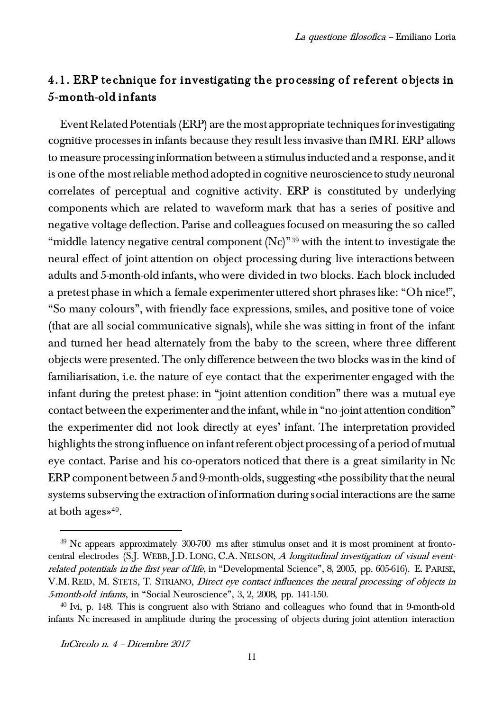# 4.1. ERP technique for investigating the processing of referent objects in 5-month-old infants

Event Related Potentials (ERP) are the most appropriate techniques for investigating cognitive processes in infants because they result less invasive than fMRI. ERP allows to measure processing information between a stimulus inducted and a response, and it is one of the most reliable method adopted in cognitive neuroscience to study neuronal correlates of perceptual and cognitive activity. ERP is constituted by underlying components which are related to waveform mark that has a series of positive and negative voltage deflection. Parise and colleagues focused on measuring the so called "middle latency negative central component  $(Nc)^{39}$  with the intent to investigate the neural effect of joint attention on object processing during live interactions between adults and 5-month-old infants, who were divided in two blocks. Each block included a pretest phase in which a female experimenter uttered short phrases like: "Oh nice!", "So many colours", with friendly face expressions, smiles, and positive tone of voice (that are all social communicative signals), while she was sitting in front of the infant and turned her head alternately from the baby to the screen, where three different objects were presented. The only difference between the two blocks was in the kind of familiarisation, i.e. the nature of eye contact that the experimenter engaged with the infant during the pretest phase: in "joint attention condition" there was a mutual eye contact between the experimenter and the infant, while in "no-joint attention condition" the experimenter did not look directly at eyes' infant. The interpretation provided highlights the strong influence on infant referent object processing of a period of mutual eye contact. Parise and his co-operators noticed that there is a great similarity in Nc ERP component between 5 and 9-month-olds, suggesting «the possibility that the neural systems subserving the extraction of information during social interactions are the same at both ages»<sup>40</sup>.

 $39$  Nc appears approximately  $300-700$  ms after stimulus onset and it is most prominent at frontocentral electrodes (S.J. WEBB, J.D. LONG, C.A. NELSON, A longitudinal investigation of visual eventrelated potentials in the first year of life, in "Developmental Science", 8, 2005, pp. 605-616). E. PARISE, V.M. REID, M. STETS, T. STRIANO, Direct eye contact influences the neural processing of objects in 5-month-old infants, in "Social Neuroscience", 3, 2, 2008, pp. 141-150.

<sup>&</sup>lt;sup>40</sup> Ivi, p. 148. This is congruent also with Striano and colleagues who found that in 9-month-old infants Nc increased in amplitude during the processing of objects during joint attention interaction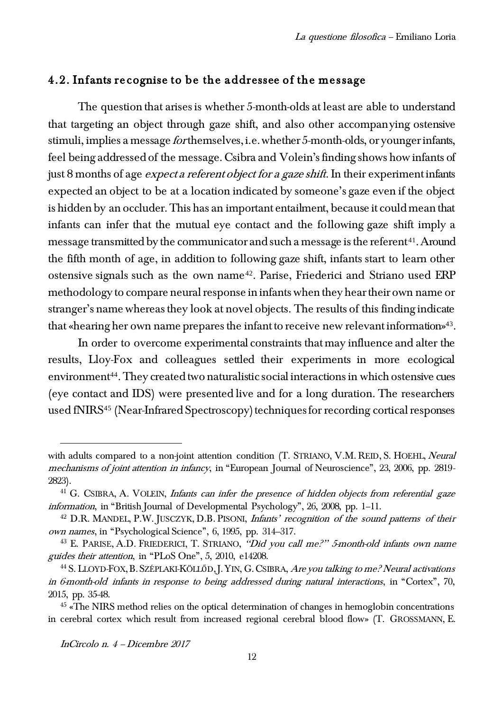## 4.2. Infants recognise to be the addressee of the message

The question that arises is whether 5-month-olds at least are able to understand that targeting an object through gaze shift, and also other accompanying ostensive stimuli, implies a message forthemselves, i.e. whether 5-month-olds, or younger infants, feel being addressed of the message. Csibra and Volein's finding shows how infants of just 8 months of age *expect a referent object for a gaze shift*. In their experiment infants expected an object to be at a location indicated by someone's gaze even if the object is hidden by an occluder. This has an important entailment, because it could mean that infants can infer that the mutual eye contact and the following gaze shift imply a message transmitted by the communicator and such a message is the referent<sup>41</sup>. Around the fifth month of age, in addition to following gaze shift, infants start to learn other ostensive signals such as the own name<sup>42</sup>. Parise, Friederici and Striano used ERP methodology to compare neural response in infants when they hear their own name or stranger's name whereas they look at novel objects. The results of this finding indicate that «hearing her own name prepares the infant to receive new relevant information»<sup>43</sup>.

In order to overcome experimental constraints that may influence and alter the results, Lloy-Fox and colleagues settled their experiments in more ecological environment<sup>44</sup>. They created two naturalistic social interactions in which ostensive cues (eye contact and IDS) were presented live and for a long duration. The researchers used fNIRS<sup>45</sup> (Near-Infrared Spectroscopy) techniques for recording cortical responses

with adults compared to a non-joint attention condition (T. STRIANO, V.M. REID, S. HOEHL, Neural mechanisms of joint attention in infancy, in "European Journal of Neuroscience", 23, 2006, pp. 2819- 2823).

<sup>&</sup>lt;sup>41</sup> G. CSIBRA, A. VOLEIN, *Infants can infer the presence of hidden objects from referential gaze* information, in "British Journal of Developmental Psychology", 26, 2008, pp. 1–11.

 $42$  D.R. MANDEL, P.W. JUSCZYK, D.B. PISONI, *Infants' recognition of the sound patterns of their* own names, in "Psychological Science", 6, 1995, pp. 314–317.

<sup>&</sup>lt;sup>43</sup> E. PARISE, A.D. FRIEDERICI, T. STRIANO, "Did you call me?" 5-month-old infants own name guides their attention, in "PLoS One", 5, 2010, e14208.

<sup>&</sup>lt;sup>44</sup> S. LLOYD-FOX, B. SZÉPLAKI-KÖLLŐD, J. YIN, G. CSIBRA, *Are you talking to me? Neural activations* in 6-month-old infants in response to being addressed during natural interactions, in "Cortex", 70, 2015, pp. 35-48.

 $45$  «The NIRS method relies on the optical determination of changes in hemoglobin concentrations in cerebral cortex which result from increased regional cerebral blood flow» (T. GROSSMANN, E.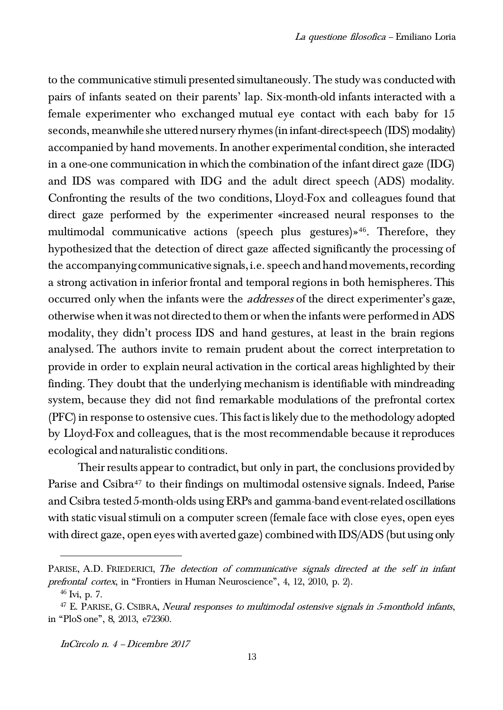to the communicative stimuli presented simultaneously. The study was conducted with pairs of infants seated on their parents' lap. Six-month-old infants interacted with a female experimenter who exchanged mutual eye contact with each baby for 15 seconds, meanwhile she uttered nursery rhymes (in infant-direct-speech (IDS) modality) accompanied by hand movements. In another experimental condition, she interacted in a one-one communication in which the combination of the infant direct gaze (IDG) and IDS was compared with IDG and the adult direct speech (ADS) modality. Confronting the results of the two conditions, Lloyd-Fox and colleagues found that direct gaze performed by the experimenter «increased neural responses to the multimodal communicative actions (speech plus gestures)»<sup>46</sup>. Therefore, they hypothesized that the detection of direct gaze affected significantly the processing of the accompanying communicative signals, i.e. speech and hand movements, recording a strong activation in inferior frontal and temporal regions in both hemispheres. This occurred only when the infants were the addresses of the direct experimenter's gaze, otherwise when it was not directed to them or when the infants were performed in ADS modality, they didn't process IDS and hand gestures, at least in the brain regions analysed. The authors invite to remain prudent about the correct interpretation to provide in order to explain neural activation in the cortical areas highlighted by their finding. They doubt that the underlying mechanism is identifiable with mindreading system, because they did not find remarkable modulations of the prefrontal cortex (PFC) in response to ostensive cues. This fact is likely due to the methodology adopted by Lloyd-Fox and colleagues, that is the most recommendable because it reproduces ecological and naturalistic conditions.

Their results appear to contradict, but only in part, the conclusions provided by Parise and Csibra<sup>47</sup> to their findings on multimodal ostensive signals. Indeed, Parise and Csibra tested 5-month-olds using ERPs and gamma-band event-related oscillations with static visual stimuli on a computer screen (female face with close eyes, open eyes with direct gaze, open eyes with averted gaze) combined with IDS/ADS (but using only

 $\overline{a}$ 

InCircolo n. 4 – Dicembre 2017

PARISE, A.D. FRIEDERICI, The detection of communicative signals directed at the self in infant prefrontal cortex, in "Frontiers in Human Neuroscience", 4, 12, 2010, p. 2).

<sup>46</sup> Ivi, p. 7.

 $47$  E. PARISE, G. CSIBRA, Neural responses to multimodal ostensive signals in 5-monthold infants, in "PloS one", 8, 2013, e72360.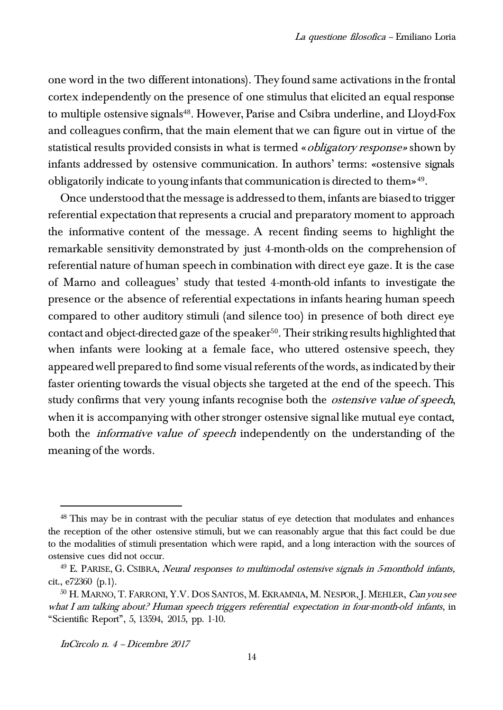one word in the two different intonations). They found same activations in the frontal cortex independently on the presence of one stimulus that elicited an equal response to multiple ostensive signals<sup>48</sup>. However, Parise and Csibra underline, and Lloyd-Fox and colleagues confirm, that the main element that we can figure out in virtue of the statistical results provided consists in what is termed «*obligatory response*» shown by infants addressed by ostensive communication. In authors' terms: «ostensive signals obligatorily indicate to young infants that communication is directed to them»<sup>49</sup>.

Once understood that the message is addressed to them, infants are biased to trigger referential expectation that represents a crucial and preparatory moment to approach the informative content of the message. A recent finding seems to highlight the remarkable sensitivity demonstrated by just 4-month-olds on the comprehension of referential nature of human speech in combination with direct eye gaze. It is the case of Marno and colleagues' study that tested 4-month-old infants to investigate the presence or the absence of referential expectations in infants hearing human speech compared to other auditory stimuli (and silence too) in presence of both direct eye contact and object-directed gaze of the speaker<sup>50</sup>. Their striking results highlighted that when infants were looking at a female face, who uttered ostensive speech, they appeared well prepared to find some visual referents of the words, as indicated by their faster orienting towards the visual objects she targeted at the end of the speech. This study confirms that very young infants recognise both the *ostensive value of speech*, when it is accompanying with other stronger ostensive signal like mutual eye contact, both the *informative value of speech* independently on the understanding of the meaning of the words.

InCircolo n. 4 – Dicembre 2017

<sup>&</sup>lt;sup>48</sup> This may be in contrast with the peculiar status of eye detection that modulates and enhances the reception of the other ostensive stimuli, but we can reasonably argue that this fact could be due to the modalities of stimuli presentation which were rapid, and a long interaction with the sources of ostensive cues did not occur.

 $49$  E. PARISE, G. CSIBRA, Neural responses to multimodal ostensive signals in 5-monthold infants, cit., e72360 (p.1).

<sup>&</sup>lt;sup>50</sup> H. MARNO, T. FARRONI, Y.V. DOS SANTOS, M. EKRAMNIA, M. NESPOR, J. MEHLER, *Can you see* what I am talking about? Human speech triggers referential expectation in four-month-old infants, in "Scientific Report", 5, 13594, 2015, pp. 1-10.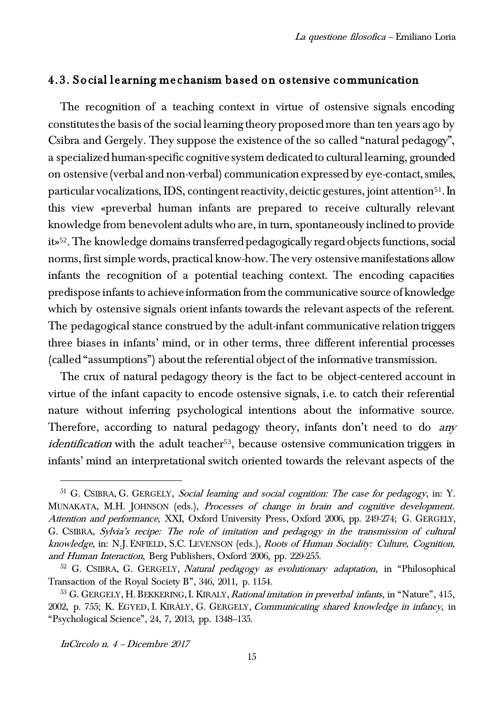### 4.3. Social learning mechanism based on ostensive communication

The recognition of a teaching context in virtue of ostensive signals encoding constitutes the basis of the social learning theory proposed more than ten years ago by Csibra and Gergely. They suppose the existence of the so called "natural pedagogy", a specialized human-specific cognitive system dedicated to cultural learning, grounded on ostensive (verbal and non-verbal) communication expressed by eye-contact, smiles, particular vocalizations, IDS, contingent reactivity, deictic gestures, joint attention<sup>51</sup>. In this view «preverbal human infants are prepared to receive culturally relevant knowledge from benevolent adults who are, in turn, spontaneously inclined to provide it»52. The knowledge domains transferred pedagogically regard objects functions, social norms, first simple words, practical know-how. The very ostensive manifestations allow infants the recognition of a potential teaching context. The encoding capacities predispose infants to achieve information from the communicative source of knowledge which by ostensive signals orient infants towards the relevant aspects of the referent. The pedagogical stance construed by the adult-infant communicative relation triggers three biases in infants' mind, or in other terms, three different inferential processes (called "assumptions") about the referential object of the informative transmission.

The crux of natural pedagogy theory is the fact to be object-centered account in virtue of the infant capacity to encode ostensive signals, i.e. to catch their referential nature without inferring psychological intentions about the informative source. Therefore, according to natural pedagogy theory, infants don't need to do any *identification* with the adult teacher<sup>53</sup>, because ostensive communication triggers in infants' mind an interpretational switch oriented towards the relevant aspects of the

InCircolo n. 4 – Dicembre 2017

<sup>&</sup>lt;sup>51</sup> G. CSIBRA, G. GERGELY, Social learning and social cognition: The case for pedagogy, in: Y. MUNAKATA, M.H. JOHNSON (eds.), Processes of change in brain and cognitive development. Attention and performance, XXI, Oxford University Press, Oxford 2006, pp. 249-274; G. GERGELY, G. CSIBRA, Sylvia's recipe: The role of imitation and pedagogy in the transmission of cultural knowledge, in: N.J. ENFIELD, S.C. LEVENSON (eds.), Roots of Human Sociality: Culture, Cognition, and Human Interaction, Berg Publishers, Oxford 2006, pp. 229-255.

 $52$  G. CSIBRA, G. GERGELY, Natural pedagogy as evolutionary adaptation, in "Philosophical Transaction of the Royal Society B", 346, 2011, p. 1154.

<sup>&</sup>lt;sup>53</sup> G. GERGELY, H. BEKKERING, I. KIRALY, Rational imitation in preverbal infants, in "Nature", 415, 2002, p. 755; K. EGYED, I. KIRÁLY, G. GERGELY, Communicating shared knowledge in infancy, in "Psychological Science", 24, 7, 2013, pp. 1348–135.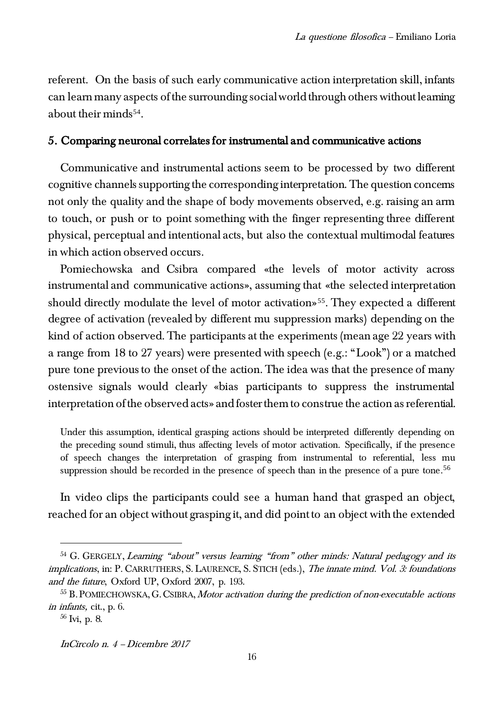referent. On the basis of such early communicative action interpretation skill, infants can learn many aspects of the surrounding social world through others without learning about their minds<sup>54</sup>.

## 5. Comparing neuronal correlates for instrumental and communicative actions

Communicative and instrumental actions seem to be processed by two different cognitive channels supporting the corresponding interpretation. The question concerns not only the quality and the shape of body movements observed, e.g. raising an arm to touch, or push or to point something with the finger representing three different physical, perceptual and intentional acts, but also the contextual multimodal features in which action observed occurs.

Pomiechowska and Csibra compared «the levels of motor activity across instrumental and communicative actions», assuming that «the selected interpretation should directly modulate the level of motor activation»<sup>55</sup>. They expected a different degree of activation (revealed by different mu suppression marks) depending on the kind of action observed. The participants at the experiments (mean age 22 years with a range from 18 to 27 years) were presented with speech (e.g.: "Look") or a matched pure tone previous to the onset of the action. The idea was that the presence of many ostensive signals would clearly «bias participants to suppress the instrumental interpretation of the observed acts» and foster them to construe the action as referential.

Under this assumption, identical grasping actions should be interpreted differently depending on the preceding sound stimuli, thus affecting levels of motor activation. Specifically, if the presence of speech changes the interpretation of grasping from instrumental to referential, less mu suppression should be recorded in the presence of speech than in the presence of a pure tone.<sup>56</sup>

In video clips the participants could see a human hand that grasped an object, reached for an object without grasping it, and did point to an object with the extended

<sup>&</sup>lt;sup>54</sup> G. GERGELY, Learning "about" versus learning "from" other minds: Natural pedagogy and its implications, in: P. CARRUTHERS, S. LAURENCE, S. STICH (eds.), The innate mind. Vol. 3: foundations and the future, Oxford UP, Oxford 2007, p. 193.

<sup>55</sup> B. POMIECHOWSKA,G.CSIBRA, Motor activation during the prediction of non-executable actions in infants, cit., p. 6.

 $56$  Ivi, p. 8.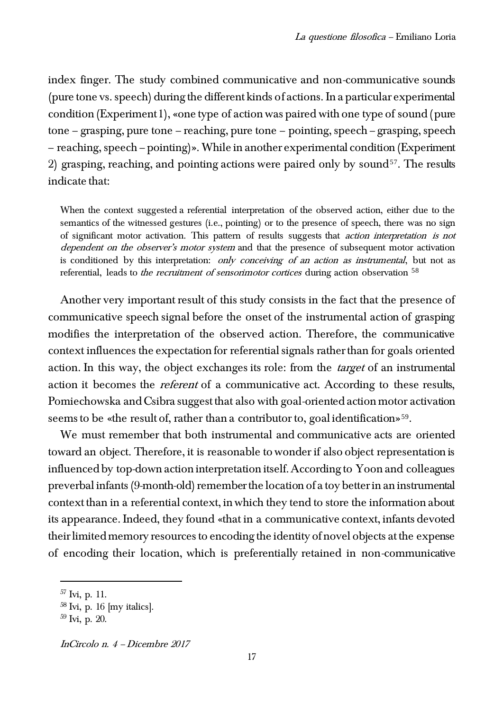index finger. The study combined communicative and non-communicative sounds (pure tone vs. speech) during the different kinds of actions. In a particular experimental condition (Experiment 1), «one type of action was paired with one type of sound (pure tone – grasping, pure tone – reaching, pure tone – pointing, speech – grasping, speech – reaching, speech – pointing)». While in another experimental condition (Experiment 2) grasping, reaching, and pointing actions were paired only by sound<sup>57</sup>. The results indicate that:

When the context suggested a referential interpretation of the observed action, either due to the semantics of the witnessed gestures (i.e., pointing) or to the presence of speech, there was no sign of significant motor activation. This pattern of results suggests that action interpretation is not dependent on the observer's motor system and that the presence of subsequent motor activation is conditioned by this interpretation: only conceiving of an action as instrumental, but not as referential, leads to *the recruitment of sensorimotor cortices* during action observation <sup>58</sup>

Another very important result of this study consists in the fact that the presence of communicative speech signal before the onset of the instrumental action of grasping modifies the interpretation of the observed action. Therefore, the communicative context influences the expectation for referential signals rather than for goals oriented action. In this way, the object exchanges its role: from the *target* of an instrumental action it becomes the *referent* of a communicative act. According to these results, Pomiechowska and Csibra suggest that also with goal-oriented action motor activation seems to be «the result of, rather than a contributor to, goal identification»<sup>59</sup>.

We must remember that both instrumental and communicative acts are oriented toward an object. Therefore, it is reasonable to wonder if also object representation is influenced by top-down action interpretation itself. According to Yoon and colleagues preverbal infants (9-month-old) remember the location of a toy better in an instrumental context than in a referential context, in which they tend to store the information about its appearance. Indeed, they found «that in a communicative context, infants devoted their limited memory resources to encoding the identity of novel objects at the expense of encoding their location, which is preferentially retained in non-communicative

 $57 \text{Ivi}$ , p. 11.

 $58$  Ivi, p. 16 [my italics].

<sup>59</sup> Ivi, p. 20.

InCircolo n. 4 – Dicembre 2017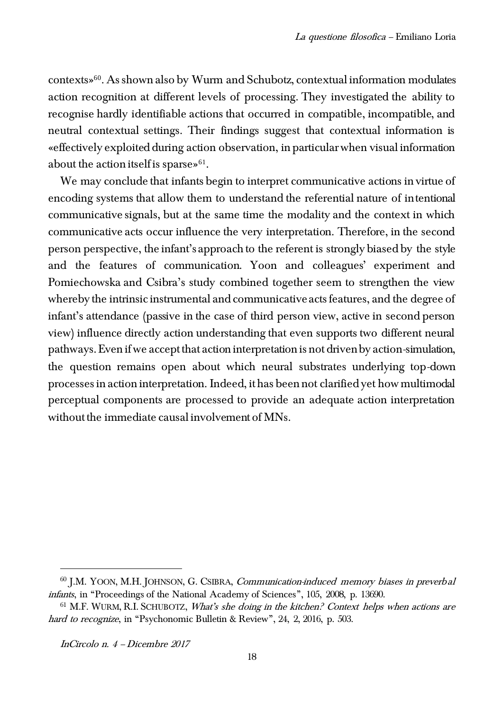contexts»60. As shown also by Wurm and Schubotz, contextual information modulates action recognition at different levels of processing. They investigated the ability to recognise hardly identifiable actions that occurred in compatible, incompatible, and neutral contextual settings. Their findings suggest that contextual information is «effectively exploited during action observation, in particular when visual information about the action itself is sparse» $61$ .

We may conclude that infants begin to interpret communicative actions in virtue of encoding systems that allow them to understand the referential nature of intentional communicative signals, but at the same time the modality and the context in which communicative acts occur influence the very interpretation. Therefore, in the second person perspective, the infant's approach to the referent is strongly biased by the style and the features of communication. Yoon and colleagues' experiment and Pomiechowska and Csibra's study combined together seem to strengthen the view whereby the intrinsic instrumental and communicative acts features, and the degree of infant's attendance (passive in the case of third person view, active in second person view) influence directly action understanding that even supports two different neural pathways. Even if we accept that action interpretation is not driven by action-simulation, the question remains open about which neural substrates underlying top-down processes in action interpretation. Indeed, it has been not clarified yet how multimodal perceptual components are processed to provide an adequate action interpretation without the immediate causal involvement of MNs.

<sup>&</sup>lt;sup>60</sup> J.M. YOON, M.H. JOHNSON, G. CSIBRA, Communication-induced memory biases in preverbal infants, in "Proceedings of the National Academy of Sciences", 105, 2008, p. 13690.

 $61$  M.F. WURM, R.I. SCHUBOTZ, *What's she doing in the kitchen? Context helps when actions are* hard to recognize, in "Psychonomic Bulletin & Review", 24, 2, 2016, p. 503.

InCircolo n. 4 – Dicembre 2017